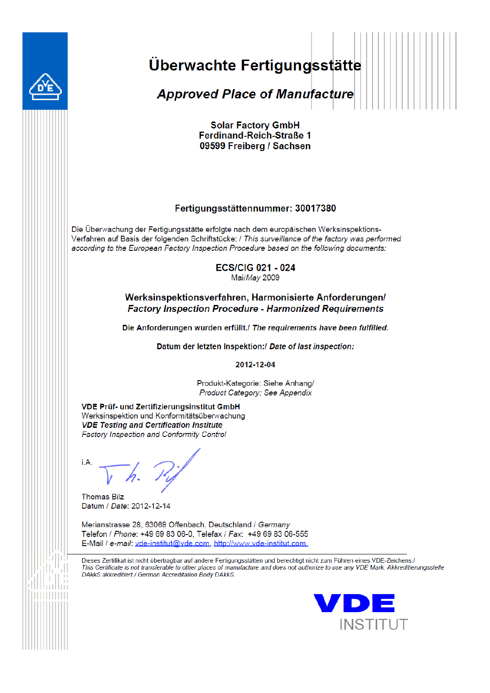

# Überwachte Fertigungsstätte

**Approved Place of Manufacture** 

**Solar Factory GmbH** Ferdinand-Reich-Straße 1 09599 Freiberg / Sachsen

#### Fertigungsstättennummer: 30017380

Die Überwachung der Fertigungsstätte erfolgte nach dem europäischen Werksinspektions-Verfahren auf Basis der folgenden Schriftstücke: / This surveillance of the factory was performed according to the European Factory Inspection Procedure based on the following documents:

> **ECS/CIG 021 - 024** Mai/May 2009

#### Werksinspektionsverfahren, Harmonisierte Anforderungen/ **Factory Inspection Procedure - Harmonized Requirements**

Die Anforderungen wurden erfüllt./ The requirements have been fulfilled.

Datum der letzten Inspektion:/ Date of last inspection:

2012-12-04

Produkt-Kategorie: Siehe Anhang/ Product Category: See Appendix

**VDE Prüf- und Zertifizierungsinstitut GmbH** Werksinspektion und Konformitätsüberwachung **VDE Testing and Certification Institute Factory Inspection and Conformity Control** 

**Thomas Bilz** Datum / Date: 2012-12-14

Merianstrasse 28, 63069 Offenbach, Deutschland / Germany Telefon / Phone: +49 69 83 06-0, Telefax / Fax: +49 69 83 06-555 E-Mail / e-mail: vde-institut@vde.com, http://www.vde-institut.com

Dieses Zertifikat ist nicht übertragbar auf andere Fertigungsstätten und berechtigt nicht zum Führen eines VDE-Zeichens./ This Certificate is not transferable to other places of manufacture and does not authorize to use any VDE Mark. Akkreditierungsstelle DAkkS akkreditiert./ German Accreditation Body DAkkS.

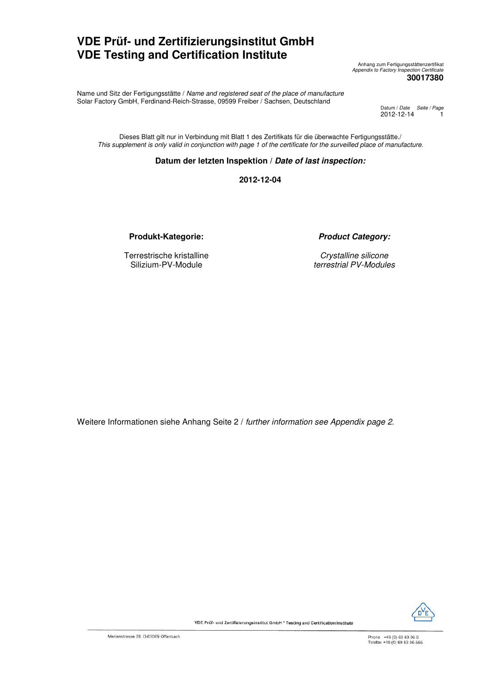## **VDE Prüf- und Zertifizierungsinstitut GmbH VDE Testing and Certification Institute**

Anhang zum Fertigungsstättenzertifikat Appendix to Factory Inspection Certificate **30017380** 

Name und Sitz der Fertigungsstätte / Name and registered seat of the place of manufacture Solar Factory GmbH, Ferdinand-Reich-Strasse, 09599 Freiber / Sachsen, Deutschland

Datum / *Date Seite / Page*<br>2012-12-14 <mark>1</mark>

Dieses Blatt gilt nur in Verbindung mit Blatt 1 des Zertifikats für die überwachte Fertigungsstätte./ This supplement is only valid in conjunction with page 1 of the certificate for the surveilled place of manufacture.

#### **Datum der letzten Inspektion / Date of last inspection:**

**2012-12-04** 

**Produkt-Kategorie: Product Category:**

Terrestrische kristalline Silizium-PV-Module

Crystalline silicone terrestrial PV-Modules

Weitere Informationen siehe Anhang Seite 2 / further information see Appendix page 2.



VDE Prüf- und Zertifizierungsinstitut GmbH \* Testing and Certification Institute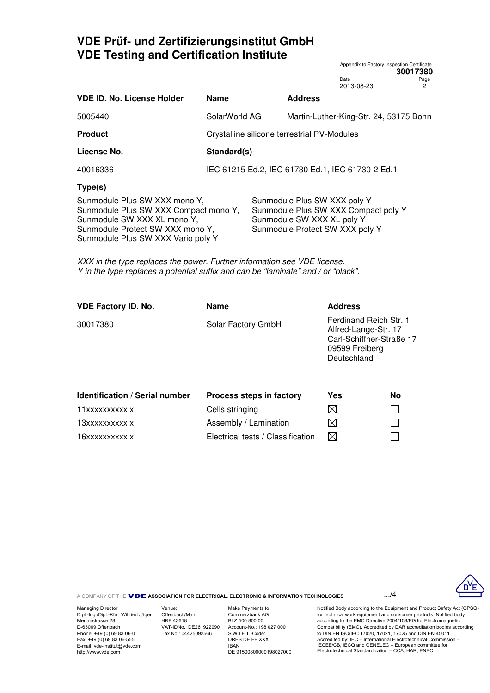## **VDE Prüf- und Zertifizierungsinstitut GmbH VDE Testing and Certification Institute**

|                                                                                                                                                                                 |               |                                                                                                                                       |                                        | ,,,,,,,,, |
|---------------------------------------------------------------------------------------------------------------------------------------------------------------------------------|---------------|---------------------------------------------------------------------------------------------------------------------------------------|----------------------------------------|-----------|
|                                                                                                                                                                                 |               |                                                                                                                                       | Date<br>2013-08-23                     | Page<br>2 |
| <b>VDE ID. No. License Holder</b>                                                                                                                                               | <b>Name</b>   | <b>Address</b>                                                                                                                        |                                        |           |
| 5005440                                                                                                                                                                         | SolarWorld AG |                                                                                                                                       | Martin-Luther-King-Str. 24, 53175 Bonn |           |
| <b>Product</b>                                                                                                                                                                  |               | Crystalline silicone terrestrial PV-Modules                                                                                           |                                        |           |
| License No.                                                                                                                                                                     | Standard(s)   |                                                                                                                                       |                                        |           |
| 40016336                                                                                                                                                                        |               | IEC 61215 Ed.2, IEC 61730 Ed.1, IEC 61730-2 Ed.1                                                                                      |                                        |           |
| Type(s)                                                                                                                                                                         |               |                                                                                                                                       |                                        |           |
| Sunmodule Plus SW XXX mono Y,<br>Sunmodule Plus SW XXX Compact mono Y,<br>Sunmodule SW XXX XL mono Y,<br>Sunmodule Protect SW XXX mono Y,<br>Sunmodule Plus SW XXX Vario poly Y |               | Sunmodule Plus SW XXX poly Y<br>Sunmodule Plus SW XXX Compact poly Y<br>Sunmodule SW XXX XL poly Y<br>Sunmodule Protect SW XXX poly Y |                                        |           |

XXX in the type replaces the power. Further information see VDE license. Y in the type replaces a potential suffix and can be "laminate" and / or "black".

| <b>VDE Factory ID. No.</b> | <b>Name</b>        | <b>Address</b>                                                                                              |
|----------------------------|--------------------|-------------------------------------------------------------------------------------------------------------|
| 30017380                   | Solar Factory GmbH | Ferdinand Reich Str. 1<br>Alfred-Lange-Str. 17<br>Carl-Schiffner-Straße 17<br>09599 Freiberg<br>Deutschland |
|                            |                    |                                                                                                             |

| <b>Identification / Serial number</b><br>Process steps in factory |                                   | Yes | <b>No</b> |
|-------------------------------------------------------------------|-----------------------------------|-----|-----------|
| 11xxxxxxxxxx x                                                    | Cells stringing                   | M   |           |
| 13xxxxxxxxxx x                                                    | Assembly / Lamination             | IХI |           |
| 16xxxxxxxxxx x                                                    | Electrical tests / Classification | M   |           |

A COMPANY OF THE **VDE ASSOCIATION FOR ELECTRICAL, ELECTRONIC & INFORMATION TECHNOLOGIES ....<sup>/4</sup>** 

Appendix to Factory Inspection Certificate

**30017380**



Managing Director Dipl.-Ing./Dipl.-Kfm. Wilfried Jäger Merianstrasse 28 D-63069 Offenbach Phone: +49 (0) 69 83 06-0 Fax: +49 (0) 69 83 06-555 E-mail: vde-institut@vde.com http://www.vde.com

Venue: Offenbach/Main HRB 43618 VAT-IDNo.: DE261922990 Tax No.: 04425092566

Make Payments to Commerzbank AG BLZ 500 800 00 Account-No.: 198 027 000 S.W.I.F.T.-Code: DRES DE FF XXX IBAN DE 91500800000198027000

Notified Body according to the Equipment and Product Safety Act (GPSG) for technical work equipment and consumer products. Notified body according to the EMC Directive 2004/108/EG for Electromagnetic Compatibility (EMC). Accredited by DAR accreditation bodies according to DIN EN ISO/IEC 17020, 17021, 17025 and DIN EN 45011. Accredited by: IEC – International Electrotechnical Commission – IECEE/CB, IECQ and CENELEC – European committee for Electrotechnical Standardization – CCA, HAR, ENEC.